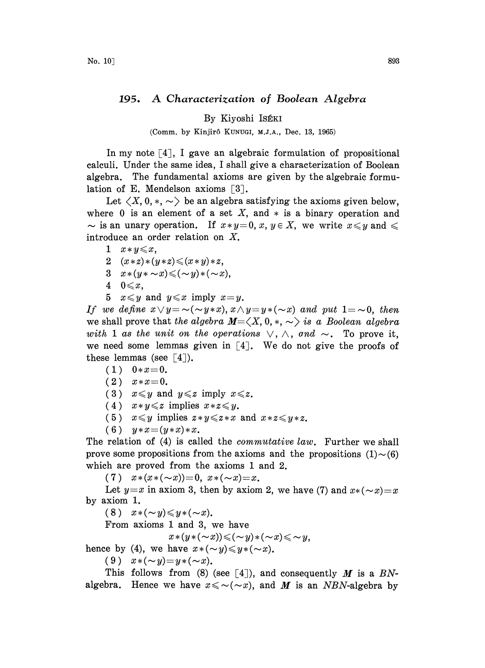## 195. A Characterization of Boolean Algebra

By Kiyoshi ISÉKI

(Comm. by Kinjirô KUNUGI, M.J.A., Dec. 13, 1965)

In my note  $[4]$ , I gave an algebraic formulation of propositional calculi. Under the same idea, <sup>I</sup> shall give a characterization of Boolean algebra. The fundamental axioms are given by the algebraic formulation of E. Mendelson axioms  $\lceil 3 \rceil$ .

Let  $\langle X, 0, \ast, \infty \rangle$  be an algebra satisfying the axioms given below, where 0 is an element of a set X, and  $*$  is a binary operation and  $\sim$  is an unary operation. If  $x * y = 0$ ,  $x, y \in X$ , we write  $x \leq y$  and  $\leq$ introduce an order relation on X.

1  $x \times y \leqslant x$ ,

$$
2 \quad (x * z) * (y * z) \leqslant (x * y) * z,
$$

- 3  $x*(y*\sim x) \leqslant (-y)*(-x),$
- 4  $0 \leqslant x$ ,
- 5  $x \leq y$  and  $y \leq x$  imply  $x=y$ .

If we define  $x \vee y = \sim(\sim y * x), x \wedge y = y * (\sim x)$  and put  $1 = \sim 0$ , then we shall prove that the algebra  $M=\langle X, 0, *, \sim \rangle$  is a Boolean algebra with 1 as the unit on the operations  $\vee$ ,  $\wedge$ , and  $\sim$ . To prove it, we need some lemmas given in  $[4]$ . We do not give the proofs of these lemmas (see  $[4]$ ).

- $(1)$   $0*x=0$ .
- $(2)$   $x*x=0$ .
- (3)  $x \leq y$  and  $y \leq z$  imply  $x \leq z$ .
- (4)  $x \times y \leq z$  implies  $x \times z \leq y$ .
- (5)  $x \leq y$  implies  $z \cdot y \leq z \cdot x$  and  $x \cdot z \leq y \cdot z$ .
- (6)  $y*x=(y*x)*x$ .

The relation of (4) is called the *commutative law*. Further we shall prove some propositions from the axioms and the propositions  $(1)\sim(6)$ which are proved from the axioms 1 and 2.

(7)  $x*(x*(-x))=0$ ,  $x*(-x)=x$ .

Let  $y=x$  in axiom 3, then by axiom 2, we have (7) and  $x*(-x)=x$ by axiom 1.

(8)  $x*(-y) \leq y*(-x)$ .

From axioms <sup>1</sup> and 3, we have

 $x*(y*(-x)) \leqslant (-y)*(y)\leqslant y,$ 

hence by (4), we have  $x \cdot (\sim y) \leq y \cdot (\sim x)$ .

(9)  $x*(-y)=y*(-x)$ .

This follows from (8) (see [4]), and consequently M is a BNalgebra. Hence we have  $x \leq \sim (\sim x)$ , and M is an NBN-algebra by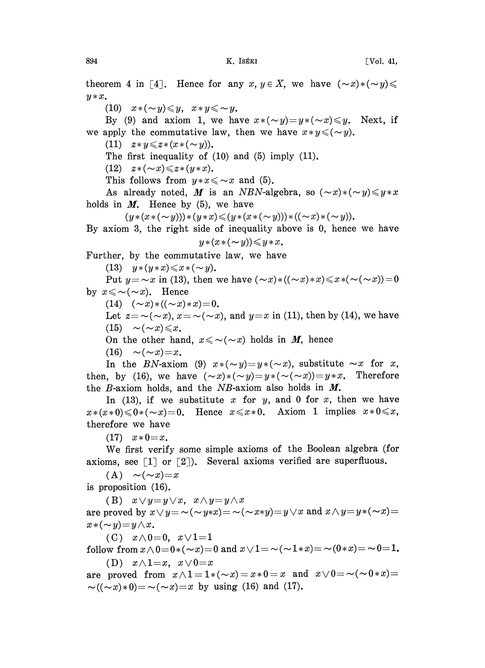theorem 4 in [4]. Hence for any  $x, y \in X$ , we have  $(\sim x) * (\sim y) \leq$  $y * x$ .

(10)  $x*(-y) \leq y, \quad x*y \leq y.$ 

By (9) and axiom 1, we have  $x*(-y)=y*(-x)\leq y$ . Next, if we apply the commutative law, then we have  $x \times y \leq (\sim y)$ .

(11)  $z * y \leq z * (x * (\sim y)).$ 

The first inequality of  $(10)$  and  $(5)$  imply  $(11)$ .

(12)  $z*(-x) \leq z*(y*x)$ .

This follows from  $y*x \leq x$  and (5).

As already noted, M is an NBN-algebra, so  $(\sim x)*({\sim} y) \leq y*x$ holds in  $M$ . Hence by (5), we have

 $(y*(x*(-y)))*(y*x){\leq}(y*(x*(-y)))*((-x)*(-y)).$ 

By axiom 3, the right side of inequality above is 0, hence we have  $y*(x*(-y)) \leq y*x.$ 

Further, by the commutative law, we have

(13)  $y*(y*x) \le x*(-y)$ .

Put  $y = -x$  in (13), then we have  $(-x)*( (-x)*x) \leq x*(-(-x))=0$ by  $x \leq \sim (\sim x)$ . Hence

(14)  $(\sim x) * ((\sim x) * x) = 0.$ 

Let  $z = \neg(\neg x)$ ,  $x = \neg(\neg x)$ , and  $y=x$  in (11), then by (14), we have (15)  $\sim$  ( $\sim$  x)  $\leq$  x.<br>On the other hand,  $x \leq \sim$  ( $\sim$  x) holds in *M*, hence

(16)  $\sim (\sim x)=x$ .

In the BN-axiom (9)  $x*(-y)=y*(-x)$ , substitute  $\sim x$  for x, then, by (16), we have  $(\sim x)*(\sim y)=y*(-(\sim x))=y*x$ . Therefore the  $B$ -axiom holds, and the  $NB$ -axiom also holds in  $M$ .

In (13), if we substitute x for y, and 0 for x, then we have  $x*(x*0) \leq 0*(-x)=0$ . Hence  $x \leq x*0$ . Axiom 1 implies  $x*0 \leq x$ , therefore we have

 $(17)$   $x * 0 = x$ .

We first verify some simple axioms of the Boolean algebra (for axioms, see  $[1]$  or  $[2]$ ). Several axioms verified are superfluous.

 $(A) \sim (\sim x)=x$ 

is proposition (16).

(B)  $x \vee y = y \vee x$ ,  $x \wedge y = y \wedge x$ are proved by  $x \vee y = \sim(\sim y * x) = \sim(\sim x * y) = y \vee x$  and  $x \wedge y = y * (\sim x) = y$  $x*(-y)=y\wedge x$ .

(C)  $x \wedge 0 = 0$ ,  $x \vee 1 = 1$ follow from  $x \wedge 0 = 0*(-x) = 0$  and  $x \vee 1 = \sim(-1*x) = \sim(0*x) = \sim 0=1$ .

(D)  $x \wedge 1 = x$ ,  $x \vee 0 = x$ are proved from  $x \wedge 1 = 1*(-x) = x*0=x$  and  $x \vee 0 = \sim(-0*x)$  $\sim((\sim x)*0) = \sim(\sim x) = x$  by using (16) and (17).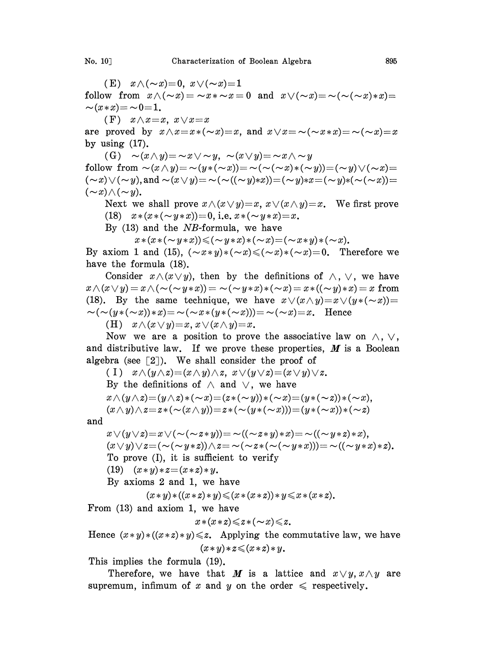(E)  $x \wedge (\sim x)=0$ ,  $x \vee (\sim x)=1$ follow from  $x \wedge (\sim x) = \sim x * \sim x = 0$  and  $x \vee (\sim x) = \sim (\sim (\sim x) * x) =$  $\sim (x * x) = \sim 0 = 1.$ 

(F)  $x \wedge x = x$ ,  $x \vee x = x$ 

are proved by  $x \wedge x = x * (\sim x) = x$ , and  $x \vee x = \sim (\sim x * x) = \sim (\sim x) = x$ by using  $(17)$ .

(G)  $\sim(x \wedge y) = \sim x \vee \sim y$ ,  $\sim(x \vee y) = \sim x \wedge \sim y$ follow from  $\sim(x\wedge y)=\sim(y*(-x))=\sim(\sim(x\wedge x)*(-y))=(-y)\vee(\sim x)=$  $(\sim x) \vee (\sim y)$ , and  $\sim (x \vee y) = \sim (\sim ((\sim y) * x)) = (\sim y) * x = (\sim y) * (\sim (\sim x)) =$  $(\sim x) \wedge (\sim y)$ .

Next we shall prove  $x \wedge (x \vee y) = x$ ,  $x \vee (x \wedge y) = x$ . We first prove (18)  $x*(x*(-y*x))=0$ , i.e.  $x*(-y*x)=x$ .

By  $(13)$  and the *NB*-formula, we have

 $x * (x * (\sim y * x)) \leqslant (\sim y * x) * (\sim x) = (\sim x * y) * (\sim x).$ 

By axiom 1 and (15),  $(\neg x \ast y) \ast (\neg x) \leq (\neg x) \ast (\neg x) = 0$ . Therefore we have the formula (18).

Consider  $x \wedge (x \vee y)$ , then by the definitions of  $\wedge$ ,  $\vee$ , we have  $x \wedge (x \vee y) = x \wedge (\sim(\sim y*x)) = \sim(\sim y*x)*(\sim x) = x*((\sim y)*x)=x$  from (18). By the same technique, we have  $x \vee (x \wedge y) = x \vee (y \ast (\sim x)) =$  $\sim(\sim(y*(-x))\cdot x) = \sim(\sim x*(y*(-x)))=\sim(\sim x)=x.$  Hence

(H)  $x \wedge (x \vee y) = x, x \vee (x \wedge y) = x.$ 

Now we are a position to prove the associative law on  $\wedge$ ,  $\vee$ , and distributive law. If we prove these properties,  $M$  is a Boolean algebra (see  $\lceil 2 \rceil$ ). We shall consider the proof of

(I)  $x \wedge (y \wedge z) = (x \wedge y) \wedge z$ ,  $x \vee (y \vee z) = (x \vee y) \vee z$ . By the definitions of  $\wedge$  and  $\vee$ , we have  $x \wedge (y \wedge z) = (y \wedge z) * (\sim x) = (z * (\sim y)) * (\sim x) = (y * (\sim z)) * (\sim x),$  $(x \wedge y) \wedge z = z * (\sim(x \wedge y)) = z * (\sim(y * (\sim x))) = (y * (\sim x)) * (\sim z)$ 

and

$$
x \vee (y \vee z) = x \vee (\sim (\sim z*y)) = \sim ((\sim z*y)*x) = \sim ((\sim y*z)*x),
$$
  
\n
$$
(x \vee y) \vee z = (\sim (\sim y*z)) \wedge z = \sim (\sim z*((\sim y*x))) = \sim ((\sim y*x)*z).
$$
  
\nTo prove (I), it is sufficient to verify  
\n(19) 
$$
(x*y)*z = (x*z)*y.
$$

By axioms 2 and 1, we have

$$
(x * y) * ((x * z) * y) \leq (x * (x * z)) * y \leq x * (x * z).
$$

From (13) and axiom 1, we have

$$
x*(x*z)\leqslant z*(-x)\leqslant z.
$$

Hence  $(x * y) * ((x * z) * y) \leq z$ . Applying the commutative law, we have  $(x * y) * z \leqslant (x * z) * y$ .

This implies the formula (19).

Therefore, we have that M is a lattice and  $x \vee y$ ,  $x \wedge y$  are supremum, infimum of x and y on the order  $\leq$  respectively.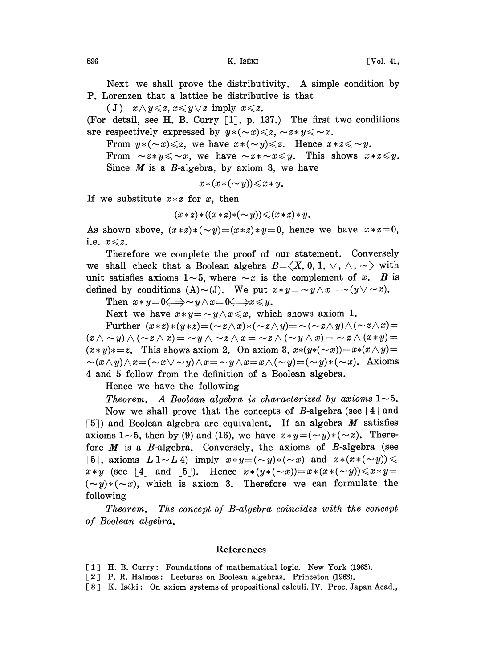Next we shall prove the distributivity. A simple condition by P. Lorenzen that a lattice be distributive is that

(J)  $x \wedge y \leqslant z, x \leqslant y \vee z \text{ imply } x \leqslant z.$ 

(For detail, see H. B. Curry  $\lceil 1 \rceil$ , p. 137.) The first two conditions are respectively expressed by  $y * ( \sim x) \leq z$ ,  $\sim z * y \leq \sim x$ .

From  $y * (\sim x) \leq z$ , we have  $x * (\sim y) \leq z$ . Hence  $x * z \leq \sim y$ .

From  $\sim z \cdot y \leq \sim x$ , we have  $\sim z \cdot \sim x \leq y$ . This shows  $x \cdot z \leq y$ . Since  $M$  is a B-algebra, by axiom 3, we have

$$
x*(x*(-y))\leq x*y.
$$

If we substitute  $x \times z$  for x, then

$$
(x * z) * ((x * z) * (\sim y)) \leq (x * z) * y.
$$

As shown above,  $(x * z) * ( \sim y) = (x * z) * y = 0$ , hence we have  $x * z = 0$ , i.e.  $x \leq z$ .

Therefore we complete the proof of our statement. Conversely we shall check that a Boolean algebra  $B=\langle X, 0, 1, \vee, \wedge, \sim \rangle$  with unit satisfies axioms  $1~5$ , where  $~x$  is the complement of x. B is defined by conditions (A)~(J). We put  $x \cdot y = \neg y \wedge x = \neg (y \vee \neg x)$ .

Then  $x \ast y = 0 \Longleftrightarrow y \wedge x = 0 \Longleftrightarrow x \leq y$ .

Next we have  $x \times y = \sim y \wedge x \leq x$ , which shows axiom 1.

Further  $(x * z) * (y * z) = (\sim z \land x) * (\sim z \land y) = \sim (\sim z \land y) \land (\sim z \land x) =$  $(z \wedge \sim y) \wedge (\sim z \wedge x) = \sim y \wedge \sim z \wedge x = \sim z \wedge (\sim y \wedge x) = \sim z \wedge (x \ast y) =$  $(x*y)*=z$ . This shows axiom 2. On axiom 3,  $x*(y*(-x))=x*(x\wedge y)=x$  $-\alpha(x\wedge y)\wedge x=(\sim x\vee\sim y)\wedge x=\sim y\wedge x=x\wedge(\sim y)=(\sim y)*(\sim x).$  Axioms 4 and 5 follow from the definition of a Boolean algebra.

Hence we have the following

Theorem. A Boolean algebra is characterized by axioms  $1~5$ . Now we shall prove that the concepts of B-algebra (see  $[4]$  and [5]) and Boolean algebra are equivalent. If an algebra  $M$  satisfies axioms  $1\sim 5$ , then by (9) and (16), we have  $x \cdot y = (\sim y) \cdot (\sim x)$ . Therefore  $M$  is a B-algebra. Conversely, the axioms of B-algebra (see [5], axioms  $L 1 \sim L 4$  imply  $x \ast y = (\sim y) \ast (\sim x)$  and  $x \ast (x \ast (\sim y)) \le$  $x * y$  (see [4] and [5]). Hence  $x * (y * (\sim x)) = x * (x * (\sim y)) \le x * y =$  $(-y)*(x)$ , which is axiom 3. Therefore we can formulate the following

Theorem. The concept of B-algebra coincides with the concept of Boolean algebra.

## References

- [1] H. B. Curry: Foundations of mathematical logic. New York (1963).
- [2] P. R. Halmos: Lectures on Boolean algebras. Princeton (1963).
- [3] K. Iséki: On axiom systems of propositional calculi. IV. Proc. Japan Acad.,